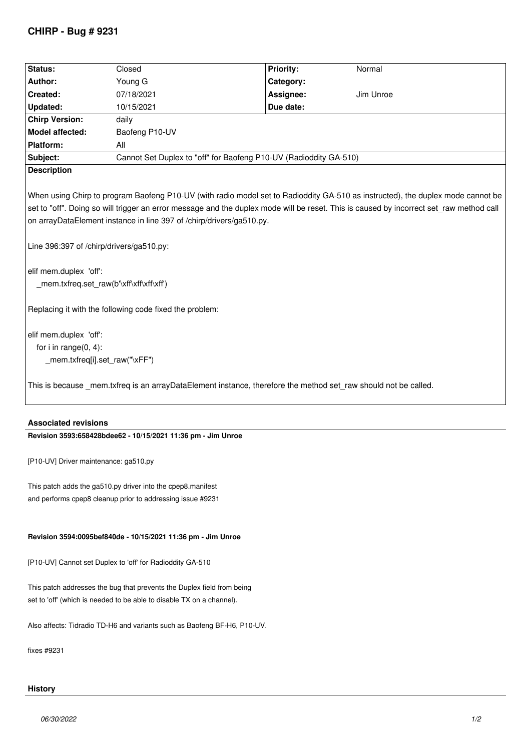## **CHIRP - Bug # 9231**

| Status:                                                                                                                                                                                                                                                                                                                                                                                                                                                                                                                         | Closed                                                            | Priority: | Normal    |
|---------------------------------------------------------------------------------------------------------------------------------------------------------------------------------------------------------------------------------------------------------------------------------------------------------------------------------------------------------------------------------------------------------------------------------------------------------------------------------------------------------------------------------|-------------------------------------------------------------------|-----------|-----------|
| Author:                                                                                                                                                                                                                                                                                                                                                                                                                                                                                                                         | Young G                                                           | Category: |           |
| Created:                                                                                                                                                                                                                                                                                                                                                                                                                                                                                                                        | 07/18/2021                                                        | Assignee: | Jim Unroe |
| Updated:                                                                                                                                                                                                                                                                                                                                                                                                                                                                                                                        | 10/15/2021                                                        | Due date: |           |
| <b>Chirp Version:</b>                                                                                                                                                                                                                                                                                                                                                                                                                                                                                                           | daily                                                             |           |           |
| Model affected:                                                                                                                                                                                                                                                                                                                                                                                                                                                                                                                 | Baofeng P10-UV                                                    |           |           |
| Platform:                                                                                                                                                                                                                                                                                                                                                                                                                                                                                                                       | All                                                               |           |           |
| Subject:                                                                                                                                                                                                                                                                                                                                                                                                                                                                                                                        | Cannot Set Duplex to "off" for Baofeng P10-UV (Radioddity GA-510) |           |           |
| <b>Description</b>                                                                                                                                                                                                                                                                                                                                                                                                                                                                                                              |                                                                   |           |           |
| When using Chirp to program Baofeng P10-UV (with radio model set to Radioddity GA-510 as instructed), the duplex mode cannot be<br>set to "off". Doing so will trigger an error message and the duplex mode will be reset. This is caused by incorrect set raw method call<br>on arrayDataElement instance in line 397 of /chirp/drivers/ga510.py.<br>Line 396:397 of /chirp/drivers/ga510.py:<br>elif mem.duplex 'off':<br>_mem.txfreq.set_raw(b'\xff\xff\xff\xff')<br>Replacing it with the following code fixed the problem: |                                                                   |           |           |
| elif mem.duplex 'off':                                                                                                                                                                                                                                                                                                                                                                                                                                                                                                          |                                                                   |           |           |
| for $i$ in range $(0, 4)$ :                                                                                                                                                                                                                                                                                                                                                                                                                                                                                                     |                                                                   |           |           |
| _mem.txfreq[i].set_raw("\xFF")                                                                                                                                                                                                                                                                                                                                                                                                                                                                                                  |                                                                   |           |           |
| This is because mem.txfreq is an arrayDataElement instance, therefore the method set raw should not be called.                                                                                                                                                                                                                                                                                                                                                                                                                  |                                                                   |           |           |

### **Associated revisions**

# **Revision 3593:658428bdee62 - 10/15/2021 11:36 pm - Jim Unroe**

*[P10-UV] Driver maintenance: ga510.py*

*This patch adds the ga510.py driver into the cpep8.manifest and performs cpep8 cleanup prior to addressing issue #9231*

### **Revision 3594:0095bef840de - 10/15/2021 11:36 pm - Jim Unroe**

*[P10-UV] Cannot set Duplex to 'off' for Radioddity GA-510*

*This patch addresses the bug that prevents the Duplex field from being set to 'off' (which is needed to be able to disable TX on a channel).*

*Also affects: Tidradio TD-H6 and variants such as Baofeng BF-H6, P10-UV.*

*fixes #9231*

## **History**